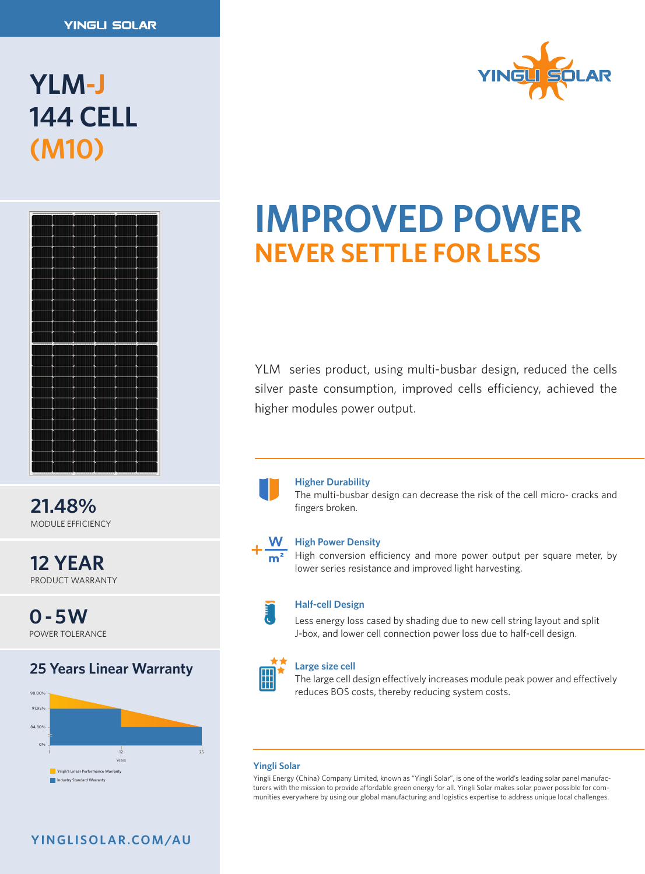# **YLM-J 144 CELL (M10)**



**21.48%** MODULE EFFICIENCY

**12 YEAR** PRODUCT WARRANTY

**0 - 5W** POWER TOLERANCE

# **25 Years Linear Warranty No. 25 Years Linear Warranty**





# **IMPROVED POWER NEVER SETTLE FOR LESS**

YLM series product, using multi-busbar design, reduced the cells silver paste consumption, improved cells efficiency, achieved the higher modules power output.

### **Higher Durability**

The multi-busbar design can decrease the risk of the cell micro- cracks and fingers broken.

### **High Power Density**

High conversion efficiency and more power output per square meter, by lower series resistance and improved light harvesting.



### **Half-cell Design**

Less energy loss cased by shading due to new cell string layout and split J-box, and lower cell connection power loss due to half-cell design.

0%

**Large size cell**

reduces BOS costs, thereby reducing system costs. The large cell design effectively increases module peak power and effectively

### **Yingli Solar**

- 111.<br>Yingli Energy (China) Company Limited, known as "Yingli Solar", is one of the world's leading solar panel manufacturers with the mission to provide affordable green energy for all. Yingli Solar makes solar power possible for communities everywhere by using our global manufacturing and logistics expertise to address unique local challenges. Company Limited,

## **Y I N G L I S O L A R .CO M /AU**